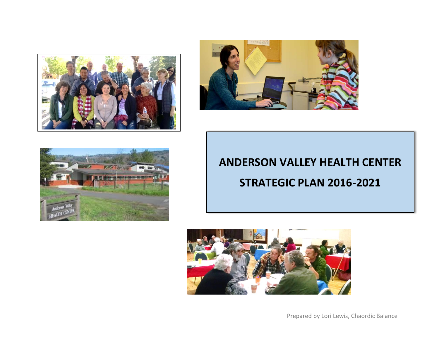





# **ANDERSON VALLEY HEALTH CENTER STRATEGIC PLAN 2016-2021**



Prepared by Lori Lewis, Chaordic Balance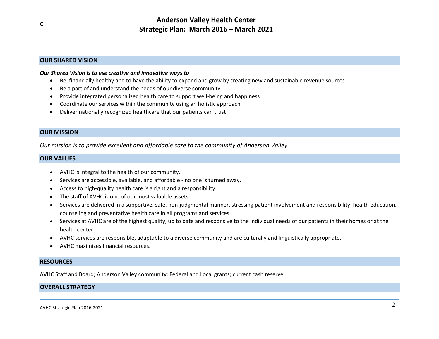### **OUR SHARED VISION**

#### *Our Shared Vision is to use creative and innovative ways to*

- Be financially healthy and to have the ability to expand and grow by creating new and sustainable revenue sources
- Be a part of and understand the needs of our diverse community
- Provide integrated personalized health care to support well-being and happiness
- Coordinate our services within the community using an holistic approach
- Deliver nationally recognized healthcare that our patients can trust

### **OUR MISSION**

*Our mission is to provide excellent and affordable care to the community of Anderson Valley*

#### **OUR VALUES**

- AVHC is integral to the health of our community.
- Services are accessible, available, and affordable no one is turned away.
- Access to high-quality health care is a right and a responsibility.
- The staff of AVHC is one of our most valuable assets.
- Services are delivered in a supportive, safe, non-judgmental manner, stressing patient involvement and responsibility, health education, counseling and preventative health care in all programs and services.
- Services at AVHC are of the highest quality, up to date and responsive to the individual needs of our patients in their homes or at the health center.
- AVHC services are responsible, adaptable to a diverse community and are culturally and linguistically appropriate.
- AVHC maximizes financial resources.

#### **RESOURCES**

AVHC Staff and Board; Anderson Valley community; Federal and Local grants; current cash reserve

### **OVERALL STRATEGY**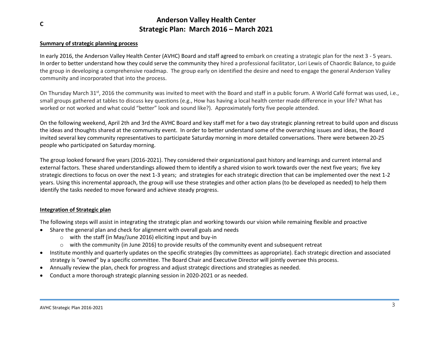### **Summary of strategic planning process**

In early 2016, the Anderson Valley Health Center (AVHC) Board and staff agreed to embark on creating a strategic plan for the next 3 - 5 years. In order to better understand how they could serve the community they hired a professional facilitator, Lori Lewis of Chaordic Balance, to guide the group in developing a comprehensive roadmap. The group early on identified the desire and need to engage the general Anderson Valley community and incorporated that into the process.

On Thursday March 31<sup>st</sup>, 2016 the community was invited to meet with the Board and staff in a public forum. A World Café format was used, i.e., small groups gathered at tables to discuss key questions (e.g., How has having a local health center made difference in your life? What has worked or not worked and what could "better" look and sound like?). Approximately forty five people attended.

On the following weekend, April 2th and 3rd the AVHC Board and key staff met for a two day strategic planning retreat to build upon and discuss the ideas and thoughts shared at the community event. In order to better understand some of the overarching issues and ideas, the Board invited several key community representatives to participate Saturday morning in more detailed conversations. There were between 20-25 people who participated on Saturday morning.

The group looked forward five years (2016-2021). They considered their organizational past history and learnings and current internal and external factors. These shared understandings allowed them to identify a shared vision to work towards over the next five years; five key strategic directions to focus on over the next 1-3 years; and strategies for each strategic direction that can be implemented over the next 1-2 years. Using this incremental approach, the group will use these strategies and other action plans (to be developed as needed) to help them identify the tasks needed to move forward and achieve steady progress.

### **Integration of Strategic plan**

The following steps will assist in integrating the strategic plan and working towards our vision while remaining flexible and proactive

- Share the general plan and check for alignment with overall goals and needs
	- o with the staff (in May/June 2016) eliciting input and buy-in
	- $\circ$  with the community (in June 2016) to provide results of the community event and subsequent retreat
- Institute monthly and quarterly updates on the specific strategies (by committees as appropriate). Each strategic direction and associated strategy is "owned" by a specific committee. The Board Chair and Executive Director will jointly oversee this process.
- Annually review the plan, check for progress and adjust strategic directions and strategies as needed.
- Conduct a more thorough strategic planning session in 2020-2021 or as needed.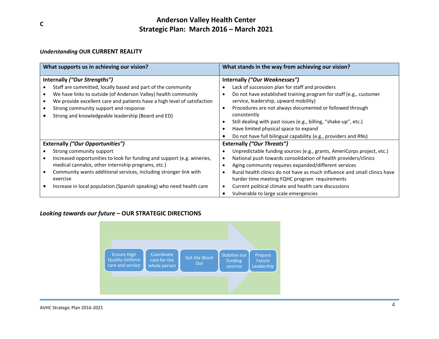### *Understanding* **OUR CURRENT REALITY**

| What supports us in achieving our vision?                                | What stands in the way from achieving our vision?                                      |
|--------------------------------------------------------------------------|----------------------------------------------------------------------------------------|
| Internally ("Our Strengths")                                             | Internally ("Our Weaknesses")                                                          |
| Staff are committed, locally based and part of the community             | Lack of succession plan for staff and providers                                        |
| We have links to outside (of Anderson Valley) health community           | Do not have established training program for staff (e.g., customer<br>٠                |
| We provide excellent care and patients have a high level of satisfaction | service, leadership, upward mobility)                                                  |
| Strong community support and response                                    | Procedures are not always documented or followed through<br>$\bullet$                  |
| Strong and knowledgeable leadership (Board and ED)                       | consistently                                                                           |
|                                                                          | Still dealing with past issues (e.g., billing, "shake-up", etc.)                       |
|                                                                          | Have limited physical space to expand                                                  |
|                                                                          | Do not have full bilingual capability (e.g., providers and RNs)                        |
| <b>Externally ("Our Opportunities")</b>                                  | <b>Externally ("Our Threats")</b>                                                      |
| Strong community support                                                 | Unpredictable funding sources (e.g., grants, AmeriCorps project, etc.)                 |
| Increased opportunities to look for funding and support (e.g. wineries,  | National push towards consolidation of health providers/clinics<br>٠                   |
| medical cannabis, other internship programs, etc.)                       | Aging community requires expanded/different services<br>٠                              |
| Community wants additional services, including stronger link with        | Rural health clinics do not have as much influence and small clinics have<br>$\bullet$ |
| exercise                                                                 | harder time meeting FQHC program requirements                                          |
| Increase in local population (Spanish speaking) who need health care     | Current political climate and health care discussions                                  |
|                                                                          | Vulnerable to large scale emergencies                                                  |

### *Looking towards our future* **– OUR STRATEGIC DIRECTIONS**

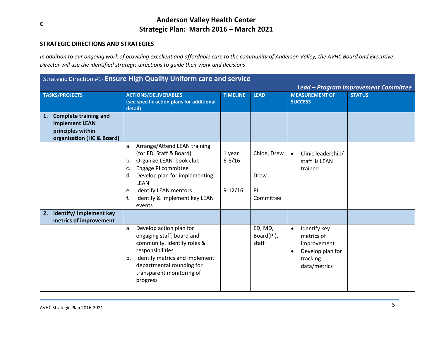### **STRATEGIC DIRECTIONS AND STRATEGIES**

*In addition to our ongoing work of providing excellent and affordable care to the community of Anderson Valley, the AVHC Board and Executive Director will use the identified strategic directions to guide their work and decisions* 

|                                                                                                               | Strategic Direction #1- Ensure High Quality Uniform care and service                                                                                                                                                                                                  |                                   |                                        |                                                                                                                     |                                      |
|---------------------------------------------------------------------------------------------------------------|-----------------------------------------------------------------------------------------------------------------------------------------------------------------------------------------------------------------------------------------------------------------------|-----------------------------------|----------------------------------------|---------------------------------------------------------------------------------------------------------------------|--------------------------------------|
|                                                                                                               |                                                                                                                                                                                                                                                                       |                                   |                                        |                                                                                                                     | Lead - Program Improvement Committee |
| <b>TASKS/PROJECTS</b>                                                                                         | <b>ACTIONS/DELIVERABLES</b><br>(see specific action plans for additional<br>detail)                                                                                                                                                                                   | <b>TIMELINE</b>                   | <b>LEAD</b>                            | <b>MEASUREMENT OF</b><br><b>SUCCESS</b>                                                                             | <b>STATUS</b>                        |
| <b>Complete training and</b><br>1.<br><b>Implement LEAN</b><br>principles within<br>organization (HC & Board) |                                                                                                                                                                                                                                                                       |                                   |                                        |                                                                                                                     |                                      |
|                                                                                                               | a. Arrange/Attend LEAN training<br>(for ED, Staff & Board)<br>Organize LEAN book club<br>b.<br>Engage PI committee<br>c.<br>Develop plan for implementing<br>d.<br><b>LEAN</b><br><b>Identify LEAN mentors</b><br>e.<br>Identify & Implement key LEAN<br>f.<br>events | 1 year<br>$6 - 8/16$<br>$9-12/16$ | Chloe, Drew<br>Drew<br>PI<br>Committee | Clinic leadership/<br>$\bullet$<br>staff is LEAN<br>trained                                                         |                                      |
| Identify/ Implement key<br>2.<br>metrics of improvement                                                       |                                                                                                                                                                                                                                                                       |                                   |                                        |                                                                                                                     |                                      |
|                                                                                                               | Develop action plan for<br>a.<br>engaging staff, board and<br>community. Identify roles &<br>responsibilities<br>Identify metrics and implement<br>b.<br>departmental rounding for<br>transparent monitoring of<br>progress                                           |                                   | ED, MD,<br>Board(PI),<br>staff         | Identify key<br>$\bullet$<br>metrics of<br>improvement<br>Develop plan for<br>$\bullet$<br>tracking<br>data/metrics |                                      |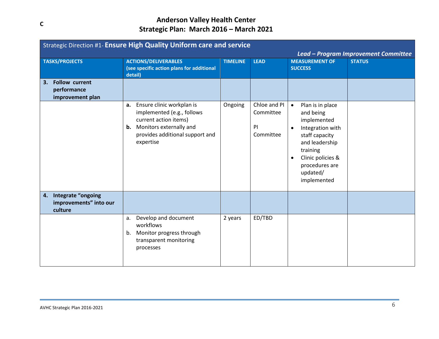| <b>Strategic Direction #1- Ensure High Quality Uniform care and service</b> |                                                                                                                                                                             |                 |                                              |                                                                                                                                                                                                              |                                                       |  |  |
|-----------------------------------------------------------------------------|-----------------------------------------------------------------------------------------------------------------------------------------------------------------------------|-----------------|----------------------------------------------|--------------------------------------------------------------------------------------------------------------------------------------------------------------------------------------------------------------|-------------------------------------------------------|--|--|
| <b>TASKS/PROJECTS</b>                                                       | <b>ACTIONS/DELIVERABLES</b><br>(see specific action plans for additional<br>detail)                                                                                         | <b>TIMELINE</b> | <b>LEAD</b>                                  | <b>MEASUREMENT OF</b><br><b>SUCCESS</b>                                                                                                                                                                      | Lead - Program Improvement Committee<br><b>STATUS</b> |  |  |
| <b>Follow current</b><br>3.<br>performance<br>improvement plan              |                                                                                                                                                                             |                 |                                              |                                                                                                                                                                                                              |                                                       |  |  |
|                                                                             | Ensure clinic workplan is<br>а.<br>implemented (e.g., follows<br>current action items)<br><b>b.</b> Monitors externally and<br>provides additional support and<br>expertise | Ongoing         | Chloe and PI<br>Committee<br>PI<br>Committee | Plan is in place<br>$\bullet$<br>and being<br>implemented<br>Integration with<br>$\bullet$<br>staff capacity<br>and leadership<br>training<br>Clinic policies &<br>procedures are<br>updated/<br>implemented |                                                       |  |  |
| Integrate "ongoing<br>4.<br>improvements" into our<br>culture               |                                                                                                                                                                             |                 |                                              |                                                                                                                                                                                                              |                                                       |  |  |
|                                                                             | Develop and document<br>a.<br>workflows<br>b. Monitor progress through<br>transparent monitoring<br>processes                                                               | 2 years         | ED/TBD                                       |                                                                                                                                                                                                              |                                                       |  |  |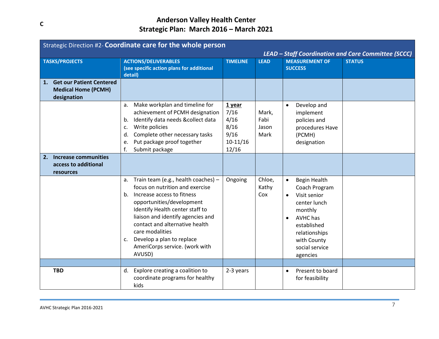|    | Strategic Direction #2- Coordinate care for the whole person<br>LEAD - Staff Coordination and Care Committee (SCCC) |                                                                                                                                                                                                                                                                                                                                                           |                                                               |                                |                                                                                                                                                                                                                 |               |  |  |
|----|---------------------------------------------------------------------------------------------------------------------|-----------------------------------------------------------------------------------------------------------------------------------------------------------------------------------------------------------------------------------------------------------------------------------------------------------------------------------------------------------|---------------------------------------------------------------|--------------------------------|-----------------------------------------------------------------------------------------------------------------------------------------------------------------------------------------------------------------|---------------|--|--|
|    | <b>TASKS/PROJECTS</b>                                                                                               | <b>ACTIONS/DELIVERABLES</b><br>(see specific action plans for additional<br>detail)                                                                                                                                                                                                                                                                       | <b>TIMELINE</b>                                               | <b>LEAD</b>                    | <b>MEASUREMENT OF</b><br><b>SUCCESS</b>                                                                                                                                                                         | <b>STATUS</b> |  |  |
| 1. | <b>Get our Patient Centered</b><br><b>Medical Home (PCMH)</b><br>designation                                        |                                                                                                                                                                                                                                                                                                                                                           |                                                               |                                |                                                                                                                                                                                                                 |               |  |  |
|    |                                                                                                                     | Make workplan and timeline for<br>a.<br>achievement of PCMH designation<br>Identify data needs &collect data<br>b.<br>Write policies<br>c.<br>Complete other necessary tasks<br>d.<br>Put package proof together<br>e.<br>f.<br>Submit package                                                                                                            | 1 year<br>7/16<br>4/16<br>8/16<br>9/16<br>$10-11/16$<br>12/16 | Mark,<br>Fabi<br>Jason<br>Mark | Develop and<br>$\bullet$<br>implement<br>policies and<br>procedures Have<br>(PCMH)<br>designation                                                                                                               |               |  |  |
| 2. | <b>Increase communities</b><br>access to additional<br>resources                                                    |                                                                                                                                                                                                                                                                                                                                                           |                                                               |                                |                                                                                                                                                                                                                 |               |  |  |
|    |                                                                                                                     | Train team (e.g., health coaches) -<br>a.<br>focus on nutrition and exercise<br>Increase access to fitness<br>b.<br>opportunities/development<br>Identify Health center staff to<br>liaison and identify agencies and<br>contact and alternative health<br>care modalities<br>Develop a plan to replace<br>C.<br>AmeriCorps service. (work with<br>AVUSD) | Ongoing                                                       | Chloe,<br>Kathy<br>Cox         | <b>Begin Health</b><br>$\bullet$<br>Coach Program<br>Visit senior<br>$\bullet$<br>center lunch<br>monthly<br>AVHC has<br>$\bullet$<br>established<br>relationships<br>with County<br>social service<br>agencies |               |  |  |
|    |                                                                                                                     |                                                                                                                                                                                                                                                                                                                                                           |                                                               |                                |                                                                                                                                                                                                                 |               |  |  |
|    | <b>TBD</b>                                                                                                          | Explore creating a coalition to<br>d.<br>coordinate programs for healthy<br>kids                                                                                                                                                                                                                                                                          | 2-3 years                                                     |                                | Present to board<br>$\bullet$<br>for feasibility                                                                                                                                                                |               |  |  |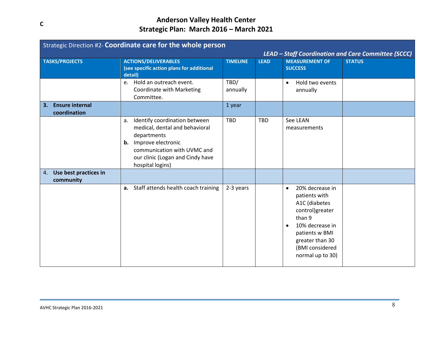|                                              | Strategic Direction #2- Coordinate care for the whole person<br>LEAD - Staff Coordination and Care Committee (SCCC)                                                                                         |                  |             |                                                                                                                                                                                                 |               |  |  |  |
|----------------------------------------------|-------------------------------------------------------------------------------------------------------------------------------------------------------------------------------------------------------------|------------------|-------------|-------------------------------------------------------------------------------------------------------------------------------------------------------------------------------------------------|---------------|--|--|--|
| <b>TASKS/PROJECTS</b>                        | <b>ACTIONS/DELIVERABLES</b><br>(see specific action plans for additional<br>detail)                                                                                                                         | <b>TIMELINE</b>  | <b>LEAD</b> | <b>MEASUREMENT OF</b><br><b>SUCCESS</b>                                                                                                                                                         | <b>STATUS</b> |  |  |  |
|                                              | e. Hold an outreach event.<br>Coordinate with Marketing<br>Committee.                                                                                                                                       | TBD/<br>annually |             | Hold two events<br>$\bullet$<br>annually                                                                                                                                                        |               |  |  |  |
| <b>Ensure internal</b><br>3.<br>coordination |                                                                                                                                                                                                             | 1 year           |             |                                                                                                                                                                                                 |               |  |  |  |
|                                              | Identify coordination between<br>a.<br>medical, dental and behavioral<br>departments<br><b>b.</b> Improve electronic<br>communication with UVMC and<br>our clinic (Logan and Cindy have<br>hospital logins) | <b>TBD</b>       | <b>TBD</b>  | See LEAN<br>measurements                                                                                                                                                                        |               |  |  |  |
| Use best practices in<br>4.<br>community     |                                                                                                                                                                                                             |                  |             |                                                                                                                                                                                                 |               |  |  |  |
|                                              | a. Staff attends health coach training                                                                                                                                                                      | 2-3 years        |             | 20% decrease in<br>$\bullet$<br>patients with<br>A1C (diabetes<br>control)greater<br>than 9<br>10% decrease in<br>٠<br>patients w BMI<br>greater than 30<br>(BMI considered<br>normal up to 30) |               |  |  |  |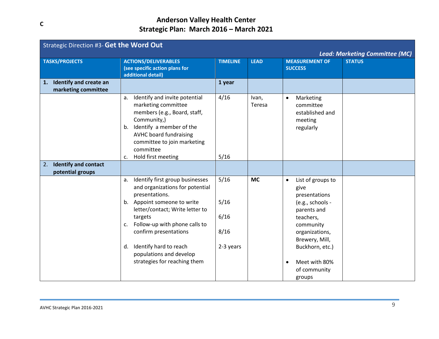| Strategic Direction #3- Get the Word Out                   |                                                                                                                                                                                                                                                                                                                                    |                                           |                 |                                                                                                                                                                                                                        |                                                        |  |  |
|------------------------------------------------------------|------------------------------------------------------------------------------------------------------------------------------------------------------------------------------------------------------------------------------------------------------------------------------------------------------------------------------------|-------------------------------------------|-----------------|------------------------------------------------------------------------------------------------------------------------------------------------------------------------------------------------------------------------|--------------------------------------------------------|--|--|
| <b>TASKS/PROJECTS</b>                                      | <b>ACTIONS/DELIVERABLES</b><br>(see specific action plans for<br>additional detail)                                                                                                                                                                                                                                                | <b>TIMELINE</b>                           | <b>LEAD</b>     | <b>MEASUREMENT OF</b><br><b>SUCCESS</b>                                                                                                                                                                                | <b>Lead: Marketing Committee (MC)</b><br><b>STATUS</b> |  |  |
| <b>Identify and create an</b><br>1.<br>marketing committee |                                                                                                                                                                                                                                                                                                                                    | 1 year                                    |                 |                                                                                                                                                                                                                        |                                                        |  |  |
|                                                            | Identify and invite potential<br>a.<br>marketing committee<br>members (e.g., Board, staff,<br>Community,)<br>Identify a member of the<br>b.<br><b>AVHC board fundraising</b><br>committee to join marketing<br>committee<br>Hold first meeting<br>c.                                                                               | 4/16<br>5/16                              | Ivan,<br>Teresa | Marketing<br>$\bullet$<br>committee<br>established and<br>meeting<br>regularly                                                                                                                                         |                                                        |  |  |
| <b>Identify and contact</b><br>2.<br>potential groups      |                                                                                                                                                                                                                                                                                                                                    |                                           |                 |                                                                                                                                                                                                                        |                                                        |  |  |
|                                                            | Identify first group businesses<br>a.<br>and organizations for potential<br>presentations.<br>b. Appoint someone to write<br>letter/contact; Write letter to<br>targets<br>Follow-up with phone calls to<br>C.<br>confirm presentations<br>Identify hard to reach<br>d.<br>populations and develop<br>strategies for reaching them | 5/16<br>5/16<br>6/16<br>8/16<br>2-3 years | <b>MC</b>       | List of groups to<br>$\bullet$<br>give<br>presentations<br>(e.g., schools -<br>parents and<br>teachers,<br>community<br>organizations,<br>Brewery, Mill,<br>Buckhorn, etc.)<br>Meet with 80%<br>of community<br>groups |                                                        |  |  |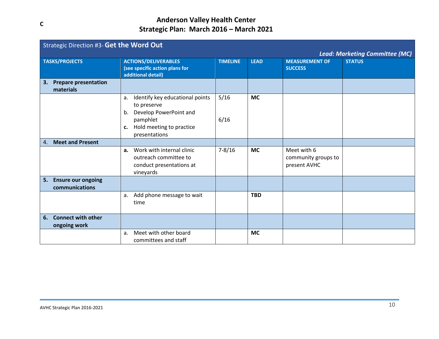|    | Strategic Direction #3- Get the Word Out |                                                      |                 |             |                       |               |  |  |  |
|----|------------------------------------------|------------------------------------------------------|-----------------|-------------|-----------------------|---------------|--|--|--|
|    | <b>Lead: Marketing Committee (MC)</b>    |                                                      |                 |             |                       |               |  |  |  |
|    | <b>TASKS/PROJECTS</b>                    | <b>ACTIONS/DELIVERABLES</b>                          | <b>TIMELINE</b> | <b>LEAD</b> | <b>MEASUREMENT OF</b> | <b>STATUS</b> |  |  |  |
|    |                                          | (see specific action plans for<br>additional detail) |                 |             | <b>SUCCESS</b>        |               |  |  |  |
| 3. | <b>Prepare presentation</b>              |                                                      |                 |             |                       |               |  |  |  |
|    | materials                                |                                                      |                 |             |                       |               |  |  |  |
|    |                                          | Identify key educational points<br>a.                | 5/16            | <b>MC</b>   |                       |               |  |  |  |
|    |                                          | to preserve                                          |                 |             |                       |               |  |  |  |
|    |                                          | Develop PowerPoint and<br>b.                         |                 |             |                       |               |  |  |  |
|    |                                          | pamphlet                                             | 6/16            |             |                       |               |  |  |  |
|    |                                          | Hold meeting to practice<br>$c_{\cdot}$              |                 |             |                       |               |  |  |  |
|    |                                          | presentations                                        |                 |             |                       |               |  |  |  |
| 4. | <b>Meet and Present</b>                  |                                                      |                 |             |                       |               |  |  |  |
|    |                                          | Work with internal clinic<br>$a_{\cdot}$             | $7 - 8/16$      | <b>MC</b>   | Meet with 6           |               |  |  |  |
|    |                                          | outreach committee to                                |                 |             | community groups to   |               |  |  |  |
|    |                                          | conduct presentations at                             |                 |             | present AVHC          |               |  |  |  |
|    |                                          | vineyards                                            |                 |             |                       |               |  |  |  |
| 5. | <b>Ensure our ongoing</b>                |                                                      |                 |             |                       |               |  |  |  |
|    | communications                           |                                                      |                 |             |                       |               |  |  |  |
|    |                                          | Add phone message to wait<br>a.                      |                 | <b>TBD</b>  |                       |               |  |  |  |
|    |                                          | time                                                 |                 |             |                       |               |  |  |  |
|    |                                          |                                                      |                 |             |                       |               |  |  |  |
| 6. | <b>Connect with other</b>                |                                                      |                 |             |                       |               |  |  |  |
|    | ongoing work                             |                                                      |                 |             |                       |               |  |  |  |
|    |                                          | Meet with other board<br>a <sub>r</sub>              |                 | <b>MC</b>   |                       |               |  |  |  |
|    |                                          | committees and staff                                 |                 |             |                       |               |  |  |  |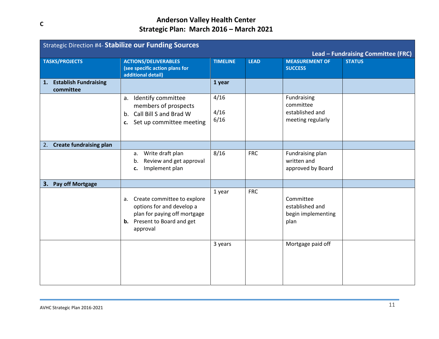|    | <b>Strategic Direction #4- Stabilize our Funding Sources</b> |                                                                                                                                                  |                      |             |                                                                  |                                                     |  |  |
|----|--------------------------------------------------------------|--------------------------------------------------------------------------------------------------------------------------------------------------|----------------------|-------------|------------------------------------------------------------------|-----------------------------------------------------|--|--|
|    | <b>TASKS/PROJECTS</b>                                        | <b>ACTIONS/DELIVERABLES</b><br>(see specific action plans for<br>additional detail)                                                              | <b>TIMELINE</b>      | <b>LEAD</b> | <b>MEASUREMENT OF</b><br><b>SUCCESS</b>                          | Lead - Fundraising Committee (FRC)<br><b>STATUS</b> |  |  |
| 1. | <b>Establish Fundraising</b><br>committee                    |                                                                                                                                                  | 1 year               |             |                                                                  |                                                     |  |  |
|    |                                                              | a. Identify committee<br>members of prospects<br>Call Bill S and Brad W<br>b.<br>c. Set up committee meeting                                     | 4/16<br>4/16<br>6/16 |             | Fundraising<br>committee<br>established and<br>meeting regularly |                                                     |  |  |
|    | 2. Create fundraising plan                                   |                                                                                                                                                  |                      |             |                                                                  |                                                     |  |  |
|    |                                                              | Write draft plan<br>a.<br>Review and get approval<br>b.<br>Implement plan<br>c.                                                                  | 8/16                 | <b>FRC</b>  | Fundraising plan<br>written and<br>approved by Board             |                                                     |  |  |
| 3. | <b>Pay off Mortgage</b>                                      |                                                                                                                                                  |                      |             |                                                                  |                                                     |  |  |
|    |                                                              | Create committee to explore<br>a.<br>options for and develop a<br>plan for paying off mortgage<br><b>b.</b> Present to Board and get<br>approval | 1 year               | <b>FRC</b>  | Committee<br>established and<br>begin implementing<br>plan       |                                                     |  |  |
|    |                                                              |                                                                                                                                                  | 3 years              |             | Mortgage paid off                                                |                                                     |  |  |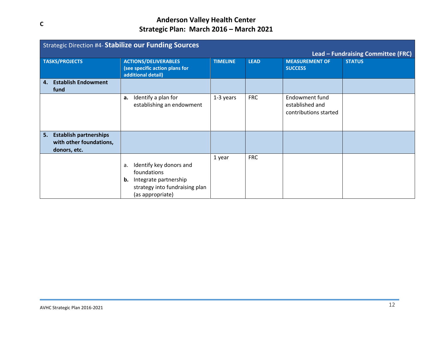|    | <b>Strategic Direction #4- Stabilize our Funding Sources</b>             |                                                                                                                                   |                 |             |                                                                   |                                    |  |  |
|----|--------------------------------------------------------------------------|-----------------------------------------------------------------------------------------------------------------------------------|-----------------|-------------|-------------------------------------------------------------------|------------------------------------|--|--|
|    |                                                                          |                                                                                                                                   |                 |             |                                                                   | Lead - Fundraising Committee (FRC) |  |  |
|    | <b>TASKS/PROJECTS</b>                                                    | <b>ACTIONS/DELIVERABLES</b><br>(see specific action plans for<br>additional detail)                                               | <b>TIMELINE</b> | <b>LEAD</b> | <b>MEASUREMENT OF</b><br><b>SUCCESS</b>                           | <b>STATUS</b>                      |  |  |
| 4. | <b>Establish Endowment</b><br>fund                                       |                                                                                                                                   |                 |             |                                                                   |                                    |  |  |
|    |                                                                          | Identify a plan for<br>a.<br>establishing an endowment                                                                            | 1-3 years       | <b>FRC</b>  | <b>Endowment fund</b><br>established and<br>contributions started |                                    |  |  |
| 5. | <b>Establish partnerships</b><br>with other foundations,<br>donors, etc. |                                                                                                                                   |                 |             |                                                                   |                                    |  |  |
|    |                                                                          | Identify key donors and<br>a.<br>foundations<br>Integrate partnership<br>b.<br>strategy into fundraising plan<br>(as appropriate) | 1 year          | <b>FRC</b>  |                                                                   |                                    |  |  |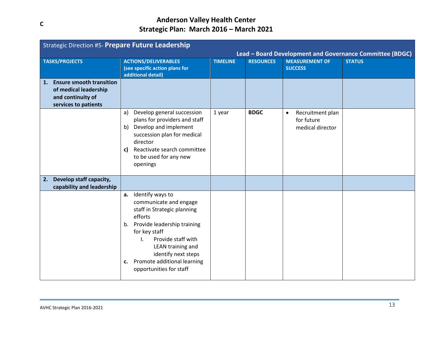|    | Strategic Direction #5- Prepare Future Leadership<br>Lead - Board Development and Governance Committee (BDGC) |                                                                                                                                                                                                                                                                                          |                 |                  |                                                                 |               |  |
|----|---------------------------------------------------------------------------------------------------------------|------------------------------------------------------------------------------------------------------------------------------------------------------------------------------------------------------------------------------------------------------------------------------------------|-----------------|------------------|-----------------------------------------------------------------|---------------|--|
|    | <b>TASKS/PROJECTS</b>                                                                                         | <b>ACTIONS/DELIVERABLES</b><br>(see specific action plans for<br>additional detail)                                                                                                                                                                                                      | <b>TIMELINE</b> | <b>RESOURCES</b> | <b>MEASUREMENT OF</b><br><b>SUCCESS</b>                         | <b>STATUS</b> |  |
| 1. | <b>Ensure smooth transition</b><br>of medical leadership<br>and continuity of<br>services to patients         |                                                                                                                                                                                                                                                                                          |                 |                  |                                                                 |               |  |
|    |                                                                                                               | Develop general succession<br>a)<br>plans for providers and staff<br>Develop and implement<br>b)<br>succession plan for medical<br>director<br>Reactivate search committee<br>c)<br>to be used for any new<br>openings                                                                   | 1 year          | <b>BDGC</b>      | Recruitment plan<br>$\bullet$<br>for future<br>medical director |               |  |
| 2. | Develop staff capacity,<br>capability and leadership                                                          |                                                                                                                                                                                                                                                                                          |                 |                  |                                                                 |               |  |
|    |                                                                                                               | Identify ways to<br>а.<br>communicate and engage<br>staff in Strategic planning<br>efforts<br>Provide leadership training<br>b.<br>for key staff<br>Provide staff with<br>I.<br>LEAN training and<br>identify next steps<br>Promote additional learning<br>c.<br>opportunities for staff |                 |                  |                                                                 |               |  |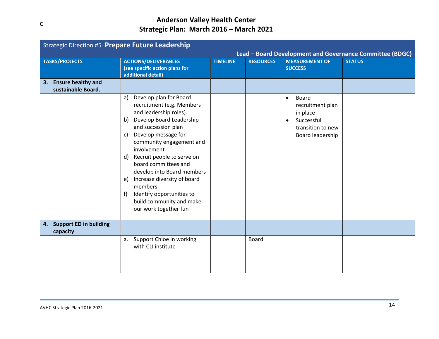|    | <b>Strategic Direction #5- Prepare Future Leadership</b><br>Lead - Board Development and Governance Committee (BDGC) |                                                                                                                                                                                                                                                                                                                                                                                                                                                                  |                 |                  |                                                                                                                        |               |  |  |
|----|----------------------------------------------------------------------------------------------------------------------|------------------------------------------------------------------------------------------------------------------------------------------------------------------------------------------------------------------------------------------------------------------------------------------------------------------------------------------------------------------------------------------------------------------------------------------------------------------|-----------------|------------------|------------------------------------------------------------------------------------------------------------------------|---------------|--|--|
|    | <b>TASKS/PROJECTS</b>                                                                                                | <b>ACTIONS/DELIVERABLES</b><br>(see specific action plans for<br>additional detail)                                                                                                                                                                                                                                                                                                                                                                              | <b>TIMELINE</b> | <b>RESOURCES</b> | <b>MEASUREMENT OF</b><br><b>SUCCESS</b>                                                                                | <b>STATUS</b> |  |  |
| 3. | <b>Ensure healthy and</b><br>sustainable Board.                                                                      |                                                                                                                                                                                                                                                                                                                                                                                                                                                                  |                 |                  |                                                                                                                        |               |  |  |
|    |                                                                                                                      | Develop plan for Board<br>a)<br>recruitment (e.g. Members<br>and leadership roles).<br>Develop Board Leadership<br>b)<br>and succession plan<br>Develop message for<br>c)<br>community engagement and<br>involvement<br>Recruit people to serve on<br>$\mathsf{d}$<br>board committees and<br>develop into Board members<br>Increase diversity of board<br>e)<br>members<br>Identify opportunities to<br>f)<br>build community and make<br>our work together fun |                 |                  | Board<br>$\bullet$<br>recruitment plan<br>in place<br>Successful<br>$\bullet$<br>transition to new<br>Board leadership |               |  |  |
|    | 4. Support ED in building<br>capacity                                                                                |                                                                                                                                                                                                                                                                                                                                                                                                                                                                  |                 |                  |                                                                                                                        |               |  |  |
|    |                                                                                                                      | a. Support Chloe in working<br>with CLI institute                                                                                                                                                                                                                                                                                                                                                                                                                |                 | <b>Board</b>     |                                                                                                                        |               |  |  |